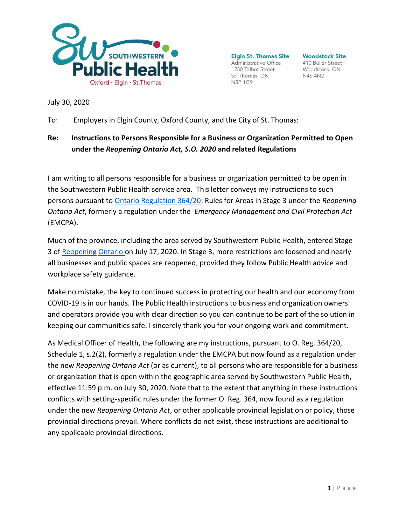

**Elgin St. Thomas Site** Administrative Office 1230 Talbot Street St. Thomas, ON N5P 1G9

**Woodstock Site** 410 Buller Street Woodstock, ON **N4S 4N2** 

July 30, 2020

To: Employers in Elgin County, Oxford County, and the City of St. Thomas:

## **Re: Instructions to Persons Responsible for a Business or Organization Permitted to Open under the** *Reopening Ontario Act, S.O. 2020* **and related Regulations**

I am writing to all persons responsible for a business or organization permitted to be open in the Southwestern Public Health service area. This letter conveys my instructions to such persons pursuant to [Ontario Regulation 364/20:](https://www.ontario.ca/laws/regulation/r20364#%3A%7E%3Atext%3D(1)%20The%20person%20responsible%20for%2Cthe%20regulations%20made%20under%20it) Rules for Areas in Stage 3 under the *Reopening Ontario Act*, formerly a regulation under the *Emergency Management and Civil Protection Act*  (EMCPA).

Much of the province, including the area served by Southwestern Public Health, entered Stage 3 of [Reopening](https://www.ontario.ca/page/reopening-ontario) [Ontario o](https://www.ontario.ca/page/reopening-ontario)n July 17, 2020. In Stage 3, more restrictions are loosened and nearly all businesses and public spaces are reopened, provided they follow Public Health advice and workplace safety guidance.

Make no mistake, the key to continued success in protecting our health and our economy from COVID-19 is in our hands. The Public Health instructions to business and organization owners and operators provide you with clear direction so you can continue to be part of the solution in keeping our communities safe. I sincerely thank you for your ongoing work and commitment.

As Medical Officer of Health, the following are my instructions, pursuant to O. Reg. 364/20, Schedule 1, s.2(2), formerly a regulation under the EMCPA but now found as a regulation under the new *Reopening Ontario Act* (or as current), to all persons who are responsible for a business or organization that is open within the geographic area served by Southwestern Public Health, effective 11:59 p.m. on July 30, 2020. Note that to the extent that anything in these instructions conflicts with setting-specific rules under the former O. Reg. 364, now found as a regulation under the new *Reopening Ontario Act*, or other applicable provincial legislation or policy, those provincial directions prevail. Where conflicts do not exist, these instructions are additional to any applicable provincial directions.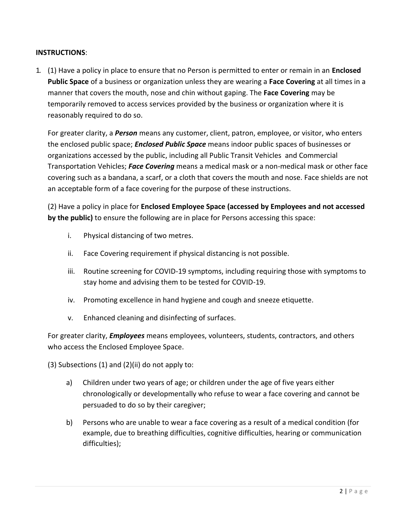## **INSTRUCTIONS**:

1. (1) Have a policy in place to ensure that no Person is permitted to enter or remain in an **Enclosed Public Space** of a business or organization unless they are wearing a **Face Covering** at all times in a manner that covers the mouth, nose and chin without gaping. The **Face Covering** may be temporarily removed to access services provided by the business or organization where it is reasonably required to do so.

For greater clarity, a *Person* means any customer, client, patron, employee, or visitor, who enters the enclosed public space; *Enclosed Public Space* means indoor public spaces of businesses or organizations accessed by the public, including all Public Transit Vehicles and Commercial Transportation Vehicles; *Face Covering* means a medical mask or a non-medical mask or other face covering such as a bandana, a scarf, or a cloth that covers the mouth and nose. Face shields are not an acceptable form of a face covering for the purpose of these instructions.

(2) Have a policy in place for **Enclosed Employee Space (accessed by Employees and not accessed by the public)** to ensure the following are in place for Persons accessing this space:

- i. Physical distancing of two metres.
- ii. Face Covering requirement if physical distancing is not possible.
- iii. Routine screening for COVID-19 symptoms, including requiring those with symptoms to stay home and advising them to be tested for COVID-19.
- iv. Promoting excellence in hand hygiene and cough and sneeze etiquette.
- v. Enhanced cleaning and disinfecting of surfaces.

For greater clarity, *Employees* means employees, volunteers, students, contractors, and others who access the Enclosed Employee Space.

(3) Subsections (1) and (2)(ii) do not apply to:

- a) Children under two years of age; or children under the age of five years either chronologically or developmentally who refuse to wear a face covering and cannot be persuaded to do so by their caregiver;
- b) Persons who are unable to wear a face covering as a result of a medical condition (for example, due to breathing difficulties, cognitive difficulties, hearing or communication difficulties);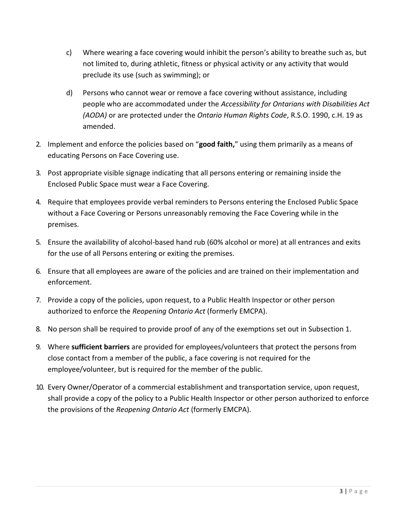- c) Where wearing a face covering would inhibit the person's ability to breathe such as, but not limited to, during athletic, fitness or physical activity or any activity that would preclude its use (such as swimming); or
- d) Persons who cannot wear or remove a face covering without assistance, including people who are accommodated under the *Accessibility for Ontarians with Disabilities Act (AODA)* or are protected under the *Ontario Human Rights Code*, R.S.O. 1990, c.H. 19 as amended.
- 2. Implement and enforce the policies based on "**good faith,**" using them primarily as a means of educating Persons on Face Covering use.
- 3. Post appropriate visible signage indicating that all persons entering or remaining inside the Enclosed Public Space must wear a Face Covering.
- 4. Require that employees provide verbal reminders to Persons entering the Enclosed Public Space without a Face Covering or Persons unreasonably removing the Face Covering while in the premises.
- 5. Ensure the availability of alcohol-based hand rub (60% alcohol or more) at all entrances and exits for the use of all Persons entering or exiting the premises.
- 6. Ensure that all employees are aware of the policies and are trained on their implementation and enforcement.
- 7. Provide a copy of the policies, upon request, to a Public Health Inspector or other person authorized to enforce the *Reopening Ontario Act* (formerly EMCPA).
- 8. No person shall be required to provide proof of any of the exemptions set out in Subsection 1.
- 9. Where **sufficient barriers** are provided for employees/volunteers that protect the persons from close contact from a member of the public, a face covering is not required for the employee/volunteer, but is required for the member of the public.
- 10. Every Owner/Operator of a commercial establishment and transportation service, upon request, shall provide a copy of the policy to a Public Health Inspector or other person authorized to enforce the provisions of the *Reopening Ontario Act* (formerly EMCPA).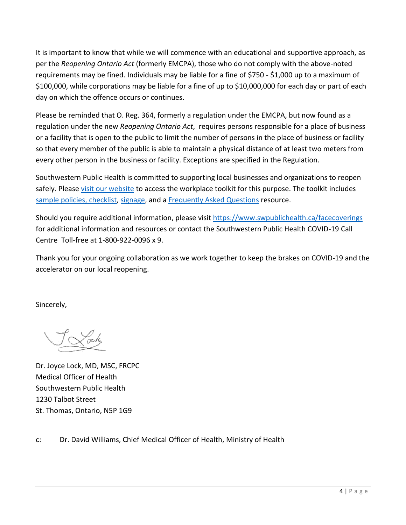It is important to know that while we will commence with an educational and supportive approach, as per the *Reopening Ontario Act* (formerly EMCPA), those who do not comply with the above-noted requirements may be fined. Individuals may be liable for a fine of \$750 - \$1,000 up to a maximum of \$100,000, while corporations may be liable for a fine of up to \$10,000,000 for each day or part of each day on which the offence occurs or continues.

Please be reminded that O. Reg. 364, formerly a regulation under the EMCPA, but now found as a regulation under the new *Reopening Ontario Act*, requires persons responsible for a place of business or a facility that is open to the public to limit the number of persons in the place of business or facility so that every member of the public is able to maintain a physical distance of at least two meters from every other person in the business or facility. Exceptions are specified in the Regulation.

Southwestern Public Health is committed to supporting local businesses and organizations to reopen safely. Please [visit our website](https://www.swpublichealth.ca/facecoverings) to access the workplace toolkit for this purpose. The toolkit includes [sample policies, checklist,](https://www.swpublichealth.ca/sites/default/files/covid-19_reopening_in_swph_-_toolkit_for_workplaces_-_final.pdf) [signage,](https://www.swpublichealth.ca/sites/default/files/workplace_toolkit_-_entrance_signage.pdf) and a [Frequently Asked Questions](https://www.swpublichealth.ca/sites/default/files/covid-19_mandatory_face_covering_faq_-_final.pdf) resource.

Should you require additional information, please visit [https://www.swpublichealth.ca/f](https://www.swpublichealth.ca/)acecoverings for additional information and resources or contact the Southwestern Public Health COVID-19 Call Centre Toll-free at 1-800-922-0096 x 9.

Thank you for your ongoing collaboration as we work together to keep the brakes on COVID-19 and the accelerator on our local reopening.

Sincerely,

Dr. Joyce Lock, MD, MSC, FRCPC Medical Officer of Health Southwestern Public Health 1230 Talbot Street St. Thomas, Ontario, N5P 1G9

c: Dr. David Williams, Chief Medical Officer of Health, Ministry of Health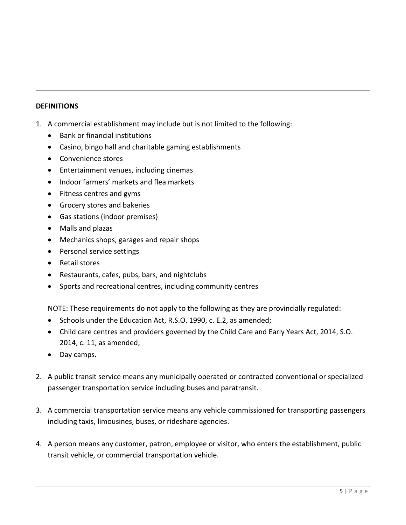## **DEFINITIONS**

- 1. A commercial establishment may include but is not limited to the following:
	- Bank or financial institutions
	- Casino, bingo hall and charitable gaming establishments
	- Convenience stores
	- Entertainment venues, including cinemas
	- Indoor farmers' markets and flea markets
	- Fitness centres and gyms
	- Grocery stores and bakeries
	- Gas stations (indoor premises)
	- Malls and plazas
	- Mechanics shops, garages and repair shops
	- Personal service settings
	- Retail stores
	- Restaurants, cafes, pubs, bars, and nightclubs
	- Sports and recreational centres, including community centres

NOTE: These requirements do not apply to the following as they are provincially regulated:

- Schools under the Education Act, R.S.O. 1990, c. E.2, as amended;
- Child care centres and providers governed by the Child Care and Early Years Act, 2014, S.O. 2014, c. 11, as amended;
- Day camps.
- 2. A public transit service means any municipally operated or contracted conventional or specialized passenger transportation service including buses and paratransit.
- 3. A commercial transportation service means any vehicle commissioned for transporting passengers including taxis, limousines, buses, or rideshare agencies.
- 4. A person means any customer, patron, employee or visitor, who enters the establishment, public transit vehicle, or commercial transportation vehicle.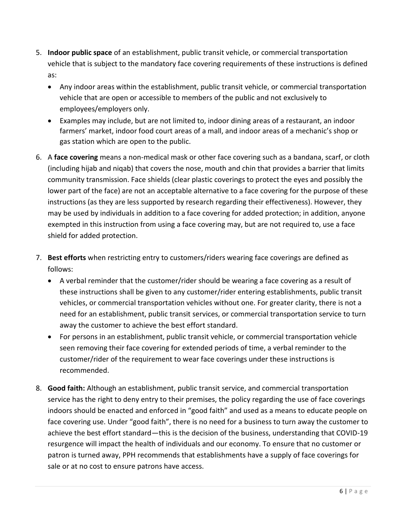- 5. **Indoor public space** of an establishment, public transit vehicle, or commercial transportation vehicle that is subject to the mandatory face covering requirements of these instructions is defined as:
	- Any indoor areas within the establishment, public transit vehicle, or commercial transportation vehicle that are open or accessible to members of the public and not exclusively to employees/employers only.
	- Examples may include, but are not limited to, indoor dining areas of a restaurant, an indoor farmers' market, indoor food court areas of a mall, and indoor areas of a mechanic's shop or gas station which are open to the public.
- 6. A **face covering** means a non-medical mask or other face covering such as a bandana, scarf, or cloth (including hijab and niqab) that covers the nose, mouth and chin that provides a barrier that limits community transmission. Face shields (clear plastic coverings to protect the eyes and possibly the lower part of the face) are not an acceptable alternative to a face covering for the purpose of these instructions (as they are less supported by research regarding their effectiveness). However, they may be used by individuals in addition to a face covering for added protection; in addition, anyone exempted in this instruction from using a face covering may, but are not required to, use a face shield for added protection.
- 7. **Best efforts** when restricting entry to customers/riders wearing face coverings are defined as follows:
	- A verbal reminder that the customer/rider should be wearing a face covering as a result of these instructions shall be given to any customer/rider entering establishments, public transit vehicles, or commercial transportation vehicles without one. For greater clarity, there is not a need for an establishment, public transit services, or commercial transportation service to turn away the customer to achieve the best effort standard.
	- For persons in an establishment, public transit vehicle, or commercial transportation vehicle seen removing their face covering for extended periods of time, a verbal reminder to the customer/rider of the requirement to wear face coverings under these instructions is recommended.
- 8. **Good faith:** Although an establishment, public transit service, and commercial transportation service has the right to deny entry to their premises, the policy regarding the use of face coverings indoors should be enacted and enforced in "good faith" and used as a means to educate people on face covering use. Under "good faith", there is no need for a business to turn away the customer to achieve the best effort standard—this is the decision of the business, understanding that COVID-19 resurgence will impact the health of individuals and our economy. To ensure that no customer or patron is turned away, PPH recommends that establishments have a supply of face coverings for sale or at no cost to ensure patrons have access.